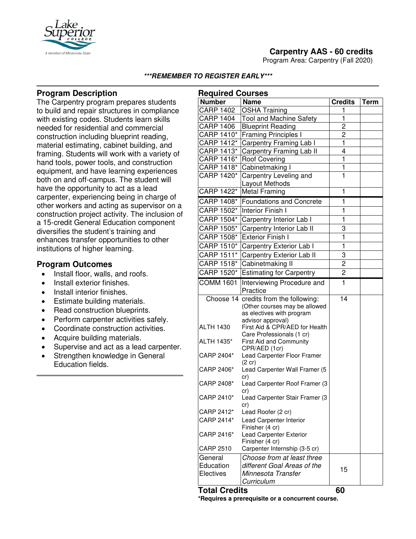

Program Area: Carpentry (Fall 2020)



#### **\*\*\*REMEMBER TO REGISTER EARLY\*\*\***

# **Program Description**

The Carpentry program prepares students to build and repair structures in compliance with existing codes. Students learn skills needed for residential and commercial construction including blueprint reading, material estimating, cabinet building, and framing. Students will work with a variety of hand tools, power tools, and construction equipment, and have learning experiences both on and off-campus. The student will have the opportunity to act as a lead carpenter, experiencing being in charge of other workers and acting as supervisor on a construction project activity. The inclusion of a 15-credit General Education component diversifies the student's training and enhances transfer opportunities to other institutions of higher learning.

# **Program Outcomes**

- Install floor, walls, and roofs.
- Install exterior finishes.
- Install interior finishes.
- Estimate building materials.
- Read construction blueprints.
- Perform carpenter activities safely.
- Coordinate construction activities.
- Acquire building materials.
- Supervise and act as a lead carpenter.
- Strengthen knowledge in General Education fields.

| <b>Required Courses</b> |                                                                        |                         |             |
|-------------------------|------------------------------------------------------------------------|-------------------------|-------------|
| <b>Number</b>           | <b>Name</b>                                                            | <b>Credits</b>          | <b>Term</b> |
| <b>CARP 1402</b>        | <b>OSHA Training</b>                                                   | 1                       |             |
| <b>CARP 1404</b>        | <b>Tool and Machine Safety</b>                                         | $\overline{\mathbf{1}}$ |             |
| <b>CARP 1406</b>        | <b>Blueprint Reading</b>                                               | $\overline{c}$          |             |
| CARP 1410*              | <b>Framing Principles I</b>                                            | $\overline{2}$          |             |
| CARP 1412*              | Carpentry Framing Lab I                                                | ī                       |             |
| CARP 1413*              | Carpentry Framing Lab II                                               | $\overline{4}$          |             |
| CARP 1416*              | <b>Roof Covering</b>                                                   | ī                       |             |
| CARP 1418*              | Cabinetmaking I                                                        | $\overline{\mathbf{1}}$ |             |
| CARP 1420*              | Carpentry Leveling and                                                 | $\overline{1}$          |             |
|                         | Layout Methods                                                         |                         |             |
| CARP 1422*              | <b>Metal Framing</b>                                                   | 1                       |             |
| CARP 1408*              | <b>Foundations and Concrete</b>                                        | 1                       |             |
| CARP 1502*              | <b>Interior Finish I</b>                                               | 1                       |             |
| CARP 1504*              | Carpentry Interior Lab I                                               | 1                       |             |
| CARP 1505*              | Carpentry Interior Lab II                                              | 3                       |             |
| CARP 1508*              | <b>Exterior Finish I</b>                                               | 1                       |             |
| CARP 1510*              | Carpentry Exterior Lab I                                               | 1                       |             |
| CARP 1511*              | Carpentry Exterior Lab II                                              | 3                       |             |
| CARP 1518*              | Cabinetmaking II                                                       | $\overline{2}$          |             |
| CARP 1520*              | <b>Estimating for Carpentry</b>                                        | $\overline{c}$          |             |
| <b>COMM 1601</b>        | Interviewing Procedure and                                             | $\mathbf{1}$            |             |
|                         | Practice                                                               |                         |             |
|                         | Choose 14 credits from the following:<br>(Other courses may be allowed | 14                      |             |
|                         | as electives with program                                              |                         |             |
|                         | advisor approval)                                                      |                         |             |
| <b>ALTH 1430</b>        | First Aid & CPR/AED for Health<br>Care Professionals (1 cr)            |                         |             |
| ALTH 1435*              | First Aid and Community<br>CPR/AED (1cr)                               |                         |             |
| CARP 2404*              | Lead Carpenter Floor Framer                                            |                         |             |
|                         | $(2 \text{ cr})$                                                       |                         |             |
| CARP 2406*              | Lead Carpenter Wall Framer (5<br>cr)                                   |                         |             |
| CARP 2408*              | Lead Carpenter Roof Framer (3<br>cr)                                   |                         |             |
| CARP 2410*              | Lead Carpenter Stair Framer (3<br>cr)                                  |                         |             |
| CARP 2412*              | Lead Roofer (2 cr)                                                     |                         |             |
| CARP 2414*              | Lead Carpenter Interior                                                |                         |             |
|                         | Finisher (4 cr)                                                        |                         |             |
| CARP 2416*              | Lead Carpenter Exterior                                                |                         |             |
| <b>CARP 2510</b>        | Finisher (4 cr)<br>Carpenter Internship (3-5 cr)                       |                         |             |
|                         | Choose from at least three                                             |                         |             |
| General<br>Education    | different Goal Areas of the                                            |                         |             |
| Electives               | Minnesota Transfer                                                     | 15                      |             |
|                         | Curriculum                                                             |                         |             |
|                         |                                                                        |                         |             |

**Total Credits 60**

**\*Requires a prerequisite or a concurrent course.**